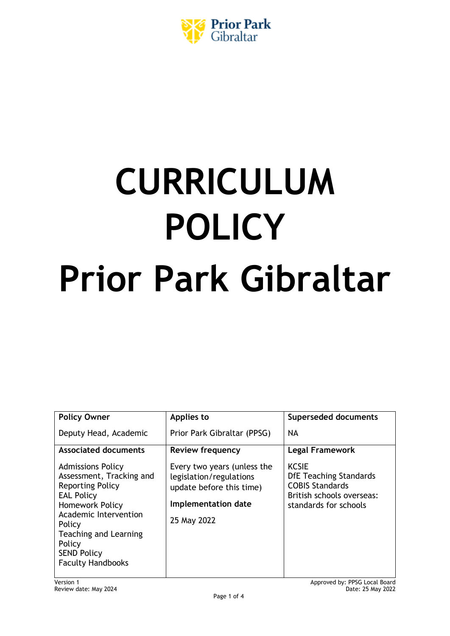

# **CURRICULUM POLICY Prior Park Gibraltar**

| <b>Policy Owner</b>                                                                                                                                                                                                                                    | Applies to                                                                                                               | <b>Superseded documents</b>                                                                                                   |
|--------------------------------------------------------------------------------------------------------------------------------------------------------------------------------------------------------------------------------------------------------|--------------------------------------------------------------------------------------------------------------------------|-------------------------------------------------------------------------------------------------------------------------------|
| Deputy Head, Academic                                                                                                                                                                                                                                  | Prior Park Gibraltar (PPSG)                                                                                              | <b>NA</b>                                                                                                                     |
| <b>Associated documents</b>                                                                                                                                                                                                                            | <b>Review frequency</b>                                                                                                  | <b>Legal Framework</b>                                                                                                        |
| <b>Admissions Policy</b><br>Assessment, Tracking and<br><b>Reporting Policy</b><br><b>EAL Policy</b><br>Homework Policy<br>Academic Intervention<br>Policy<br><b>Teaching and Learning</b><br>Policy<br><b>SEND Policy</b><br><b>Faculty Handbooks</b> | Every two years (unless the<br>legislation/regulations<br>update before this time)<br>Implementation date<br>25 May 2022 | <b>KCSIE</b><br><b>DfE Teaching Standards</b><br><b>COBIS Standards</b><br>British schools overseas:<br>standards for schools |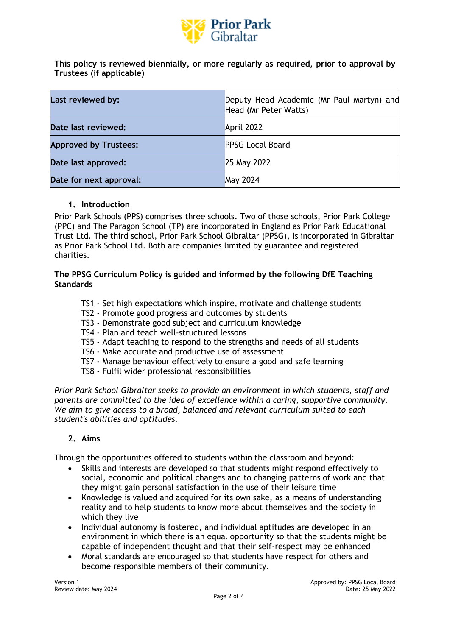

**This policy is reviewed biennially, or more regularly as required, prior to approval by Trustees (if applicable)**

| Last reviewed by:            | Deputy Head Academic (Mr Paul Martyn) and<br>Head (Mr Peter Watts) |
|------------------------------|--------------------------------------------------------------------|
| Date last reviewed:          | April 2022                                                         |
| <b>Approved by Trustees:</b> | <b>PPSG Local Board</b>                                            |
| Date last approved:          | 25 May 2022                                                        |
| Date for next approval:      | <b>May 2024</b>                                                    |

#### **1. Introduction**

Prior Park Schools (PPS) comprises three schools. Two of those schools, Prior Park College (PPC) and The Paragon School (TP) are incorporated in England as Prior Park Educational Trust Ltd. The third school, Prior Park School Gibraltar (PPSG), is incorporated in Gibraltar as Prior Park School Ltd. Both are companies limited by guarantee and registered charities.

## **The PPSG Curriculum Policy [is guided and informed by the following DfE Teaching](https://assets.publishing.service.gov.uk/government/uploads/system/uploads/attachment_data/file/665522/Teachers_standard_information.pdf)  [Standards](https://assets.publishing.service.gov.uk/government/uploads/system/uploads/attachment_data/file/665522/Teachers_standard_information.pdf)**

- TS1 Set high expectations which inspire, motivate and challenge students
- TS2 Promote good progress and outcomes by students
- TS3 Demonstrate good subject and curriculum knowledge
- TS4 Plan and teach well-structured lessons
- TS5 Adapt teaching to respond to the strengths and needs of all students
- TS6 Make accurate and productive use of assessment
- TS7 Manage behaviour effectively to ensure a good and safe learning
- TS8 Fulfil wider professional responsibilities

*Prior Park School Gibraltar seeks to provide an environment in which students, staff and parents are committed to the idea of excellence within a caring, supportive community. We aim to give access to a broad, balanced and relevant curriculum suited to each student's abilities and aptitudes.*

## **2. Aims**

Through the opportunities offered to students within the classroom and beyond:

- Skills and interests are developed so that students might respond effectively to social, economic and political changes and to changing patterns of work and that they might gain personal satisfaction in the use of their leisure time
- Knowledge is valued and acquired for its own sake, as a means of understanding reality and to help students to know more about themselves and the society in which they live
- Individual autonomy is fostered, and individual aptitudes are developed in an environment in which there is an equal opportunity so that the students might be capable of independent thought and that their self-respect may be enhanced
- Moral standards are encouraged so that students have respect for others and become responsible members of their community.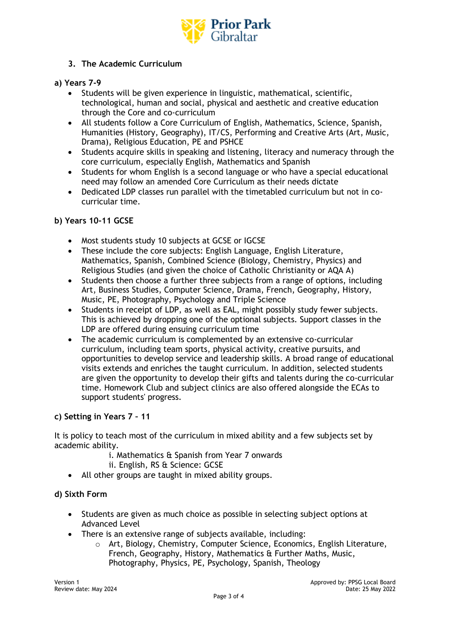

# **3. The Academic Curriculum**

## **a) Years 7-9**

- Students will be given experience in linguistic, mathematical, scientific, technological, human and social, physical and aesthetic and creative education through the Core and co-curriculum
- All students follow a Core Curriculum of English, Mathematics, Science, Spanish, Humanities (History, Geography), IT/CS, Performing and Creative Arts (Art, Music, Drama), Religious Education, PE and PSHCE
- Students acquire skills in speaking and listening, literacy and numeracy through the core curriculum, especially English, Mathematics and Spanish
- Students for whom English is a second language or who have a special educational need may follow an amended Core Curriculum as their needs dictate
- Dedicated LDP classes run parallel with the timetabled curriculum but not in cocurricular time.

#### **b) Years 10-11 GCSE**

- Most students study 10 subjects at GCSE or IGCSE
- These include the core subjects: English Language, English Literature, Mathematics, Spanish, Combined Science (Biology, Chemistry, Physics) and Religious Studies (and given the choice of Catholic Christianity or AQA A)
- Students then choose a further three subjects from a range of options, including Art, Business Studies, Computer Science, Drama, French, Geography, History, Music, PE, Photography, Psychology and Triple Science
- Students in receipt of LDP, as well as EAL, might possibly study fewer subjects. This is achieved by dropping one of the optional subjects. Support classes in the LDP are offered during ensuing curriculum time
- The academic curriculum is complemented by an extensive co-curricular curriculum, including team sports, physical activity, creative pursuits, and opportunities to develop service and leadership skills. A broad range of educational visits extends and enriches the taught curriculum. In addition, selected students are given the opportunity to develop their gifts and talents during the co-curricular time. Homework Club and subject clinics are also offered alongside the ECAs to support students' progress.

## **c) Setting in Years 7 – 11**

It is policy to teach most of the curriculum in mixed ability and a few subjects set by academic ability.

- i. Mathematics & Spanish from Year 7 onwards
- ii. English, RS & Science: GCSE
- All other groups are taught in mixed ability groups.

## **d) Sixth Form**

- Students are given as much choice as possible in selecting subject options at Advanced Level
- There is an extensive range of subjects available, including:
	- $\circ$  Art, Biology, Chemistry, Computer Science, Economics, English Literature, French, Geography, History, Mathematics & Further Maths, Music, Photography, Physics, PE, Psychology, Spanish, Theology